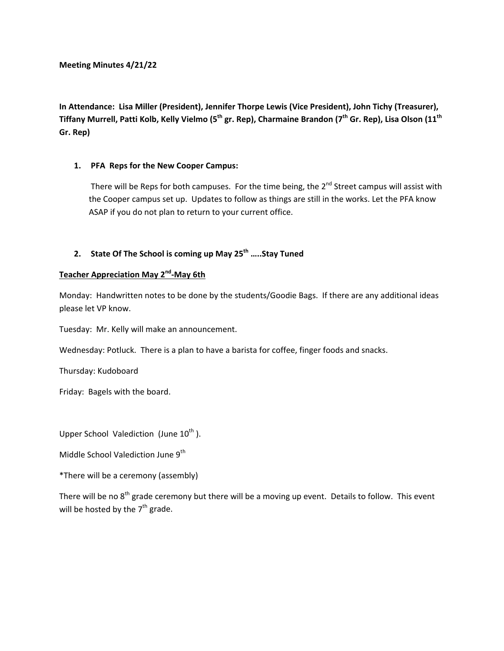**In Attendance: Lisa Miller (President), Jennifer Thorpe Lewis (Vice President), John Tichy (Treasurer),**  Tiffany Murrell, Patti Kolb, Kelly Vielmo (5<sup>th</sup> gr. Rep), Charmaine Brandon (7<sup>th</sup> Gr. Rep), Lisa Olson (11<sup>th</sup> **Gr. Rep)** 

### **1. PFA Reps for the New Cooper Campus:**

There will be Reps for both campuses. For the time being, the  $2^{nd}$  Street campus will assist with the Cooper campus set up. Updates to follow as things are still in the works. Let the PFA know ASAP if you do not plan to return to your current office.

# 2. **State Of The School is coming up May 25<sup>th</sup> .....Stay Tuned**

# **Teacher Appreciation May 2nd‐May 6th**

Monday: Handwritten notes to be done by the students/Goodie Bags. If there are any additional ideas please let VP know.

Tuesday: Mr. Kelly will make an announcement.

Wednesday: Potluck. There is a plan to have a barista for coffee, finger foods and snacks.

Thursday: Kudoboard

Friday: Bagels with the board.

Upper School Valediction (June  $10^{th}$ ).

Middle School Valediction June 9<sup>th</sup>

\*There will be a ceremony (assembly)

There will be no  $8<sup>th</sup>$  grade ceremony but there will be a moving up event. Details to follow. This event will be hosted by the  $7<sup>th</sup>$  grade.